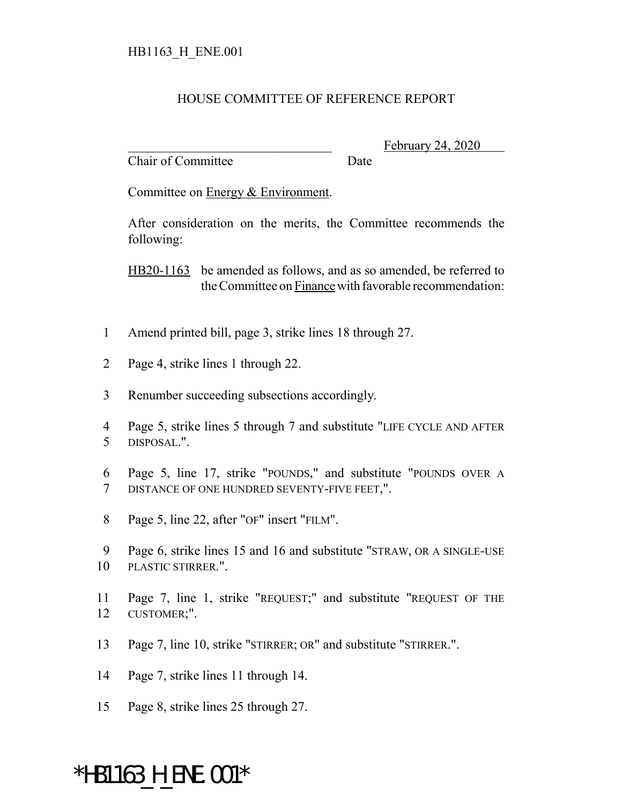## HOUSE COMMITTEE OF REFERENCE REPORT

Chair of Committee Date

February 24, 2020

Committee on Energy & Environment.

After consideration on the merits, the Committee recommends the following:

HB20-1163 be amended as follows, and as so amended, be referred to the Committee on Finance with favorable recommendation:

- 1 Amend printed bill, page 3, strike lines 18 through 27.
- 2 Page 4, strike lines 1 through 22.
- 3 Renumber succeeding subsections accordingly.
- 4 Page 5, strike lines 5 through 7 and substitute "LIFE CYCLE AND AFTER 5 DISPOSAL.".
- 6 Page 5, line 17, strike "POUNDS," and substitute "POUNDS OVER A 7 DISTANCE OF ONE HUNDRED SEVENTY-FIVE FEET,".
- 8 Page 5, line 22, after "OF" insert "FILM".
- 9 Page 6, strike lines 15 and 16 and substitute "STRAW, OR A SINGLE-USE 10 PLASTIC STIRRER.".
- 11 Page 7, line 1, strike "REQUEST;" and substitute "REQUEST OF THE 12 CUSTOMER;".
- 13 Page 7, line 10, strike "STIRRER; OR" and substitute "STIRRER.".
- 14 Page 7, strike lines 11 through 14.
- 15 Page 8, strike lines 25 through 27.

## \*HB1163\_H\_ENE.001\*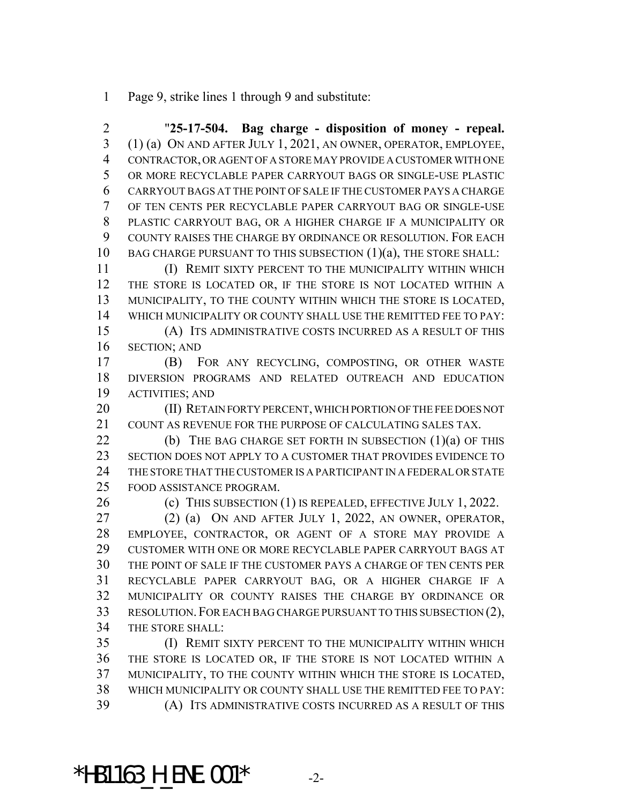Page 9, strike lines 1 through 9 and substitute:

 "**25-17-504. Bag charge - disposition of money - repeal.** (1) (a) ON AND AFTER JULY 1, 2021, AN OWNER, OPERATOR, EMPLOYEE, CONTRACTOR, OR AGENT OF A STORE MAY PROVIDE A CUSTOMER WITH ONE OR MORE RECYCLABLE PAPER CARRYOUT BAGS OR SINGLE-USE PLASTIC CARRYOUT BAGS AT THE POINT OF SALE IF THE CUSTOMER PAYS A CHARGE OF TEN CENTS PER RECYCLABLE PAPER CARRYOUT BAG OR SINGLE-USE PLASTIC CARRYOUT BAG, OR A HIGHER CHARGE IF A MUNICIPALITY OR COUNTY RAISES THE CHARGE BY ORDINANCE OR RESOLUTION. FOR EACH 10 BAG CHARGE PURSUANT TO THIS SUBSECTION (1)(a), THE STORE SHALL: (I) REMIT SIXTY PERCENT TO THE MUNICIPALITY WITHIN WHICH THE STORE IS LOCATED OR, IF THE STORE IS NOT LOCATED WITHIN A MUNICIPALITY, TO THE COUNTY WITHIN WHICH THE STORE IS LOCATED, WHICH MUNICIPALITY OR COUNTY SHALL USE THE REMITTED FEE TO PAY: (A) ITS ADMINISTRATIVE COSTS INCURRED AS A RESULT OF THIS SECTION; AND (B) FOR ANY RECYCLING, COMPOSTING, OR OTHER WASTE DIVERSION PROGRAMS AND RELATED OUTREACH AND EDUCATION ACTIVITIES; AND 20 (II) RETAIN FORTY PERCENT, WHICH PORTION OF THE FEE DOES NOT COUNT AS REVENUE FOR THE PURPOSE OF CALCULATING SALES TAX.

**(b)** THE BAG CHARGE SET FORTH IN SUBSECTION (1)(a) OF THIS SECTION DOES NOT APPLY TO A CUSTOMER THAT PROVIDES EVIDENCE TO THE STORE THAT THE CUSTOMER IS A PARTICIPANT IN A FEDERAL OR STATE FOOD ASSISTANCE PROGRAM.

(c) THIS SUBSECTION (1) IS REPEALED, EFFECTIVE JULY 1, 2022.

 (2) (a) ON AND AFTER JULY 1, 2022, AN OWNER, OPERATOR, EMPLOYEE, CONTRACTOR, OR AGENT OF A STORE MAY PROVIDE A CUSTOMER WITH ONE OR MORE RECYCLABLE PAPER CARRYOUT BAGS AT THE POINT OF SALE IF THE CUSTOMER PAYS A CHARGE OF TEN CENTS PER RECYCLABLE PAPER CARRYOUT BAG, OR A HIGHER CHARGE IF A MUNICIPALITY OR COUNTY RAISES THE CHARGE BY ORDINANCE OR RESOLUTION.FOR EACH BAG CHARGE PURSUANT TO THIS SUBSECTION (2), THE STORE SHALL:

 (I) REMIT SIXTY PERCENT TO THE MUNICIPALITY WITHIN WHICH THE STORE IS LOCATED OR, IF THE STORE IS NOT LOCATED WITHIN A MUNICIPALITY, TO THE COUNTY WITHIN WHICH THE STORE IS LOCATED, WHICH MUNICIPALITY OR COUNTY SHALL USE THE REMITTED FEE TO PAY: (A) ITS ADMINISTRATIVE COSTS INCURRED AS A RESULT OF THIS

\*HB1163 H ENE.001\*  $-2$ -